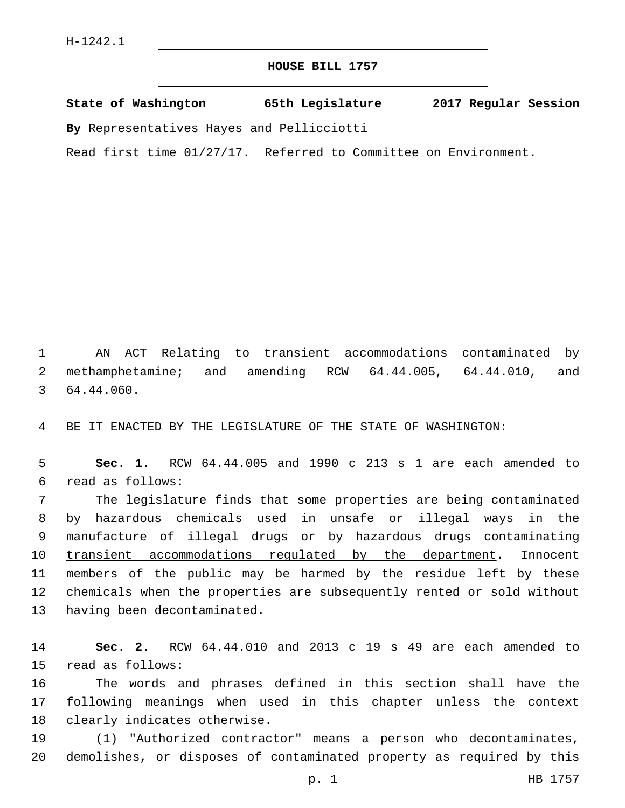## **HOUSE BILL 1757**

**State of Washington 65th Legislature 2017 Regular Session**

**By** Representatives Hayes and Pellicciotti

Read first time 01/27/17. Referred to Committee on Environment.

1 AN ACT Relating to transient accommodations contaminated by 2 methamphetamine; and amending RCW 64.44.005, 64.44.010, and 3 64.44.060.

4 BE IT ENACTED BY THE LEGISLATURE OF THE STATE OF WASHINGTON:

5 **Sec. 1.** RCW 64.44.005 and 1990 c 213 s 1 are each amended to read as follows:6

7 The legislature finds that some properties are being contaminated 8 by hazardous chemicals used in unsafe or illegal ways in the 9 manufacture of illegal drugs or by hazardous drugs contaminating 10 transient accommodations regulated by the department. Innocent 11 members of the public may be harmed by the residue left by these 12 chemicals when the properties are subsequently rented or sold without 13 having been decontaminated.

14 **Sec. 2.** RCW 64.44.010 and 2013 c 19 s 49 are each amended to 15 read as follows:

16 The words and phrases defined in this section shall have the 17 following meanings when used in this chapter unless the context 18 clearly indicates otherwise.

19 (1) "Authorized contractor" means a person who decontaminates, 20 demolishes, or disposes of contaminated property as required by this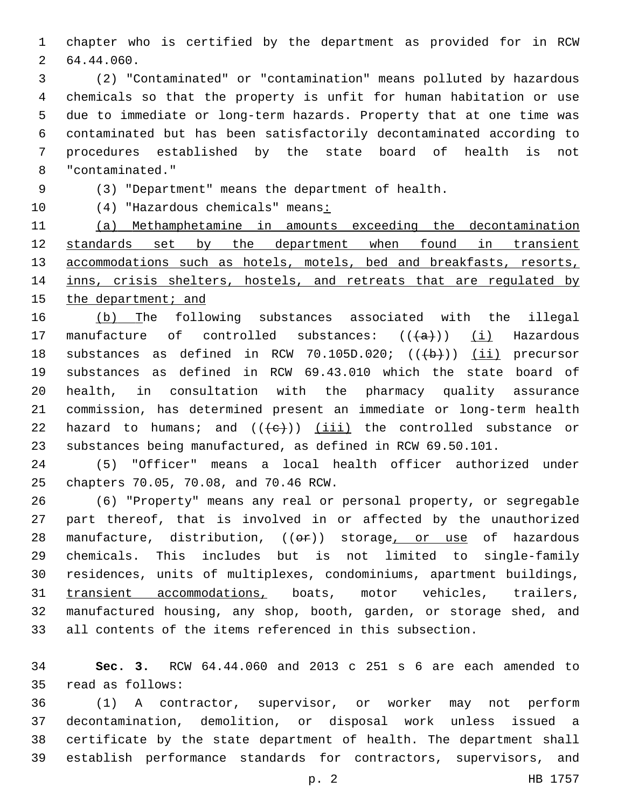chapter who is certified by the department as provided for in RCW 64.44.060.2

 (2) "Contaminated" or "contamination" means polluted by hazardous chemicals so that the property is unfit for human habitation or use due to immediate or long-term hazards. Property that at one time was contaminated but has been satisfactorily decontaminated according to procedures established by the state board of health is not "contaminated."8

(3) "Department" means the department of health.

10 (4) "Hazardous chemicals" means:

 (a) Methamphetamine in amounts exceeding the decontamination 12 standards set by the department when found in transient 13 accommodations such as hotels, motels, bed and breakfasts, resorts, 14 inns, crisis shelters, hostels, and retreats that are regulated by the department; and

 (b) The following substances associated with the illegal 17 manufacture of controlled substances:  $((+a))$   $(i)$  Hazardous 18 substances as defined in RCW 70.105D.020;  $((+b))$  (ii) precursor substances as defined in RCW 69.43.010 which the state board of health, in consultation with the pharmacy quality assurance commission, has determined present an immediate or long-term health 22 hazard to humans; and  $((e+))$  (iii) the controlled substance or substances being manufactured, as defined in RCW 69.50.101.

 (5) "Officer" means a local health officer authorized under 25 chapters 70.05, 70.08, and 70.46 RCW.

 (6) "Property" means any real or personal property, or segregable part thereof, that is involved in or affected by the unauthorized 28 manufacture, distribution, ((or)) storage, or use of hazardous chemicals. This includes but is not limited to single-family residences, units of multiplexes, condominiums, apartment buildings, transient accommodations, boats, motor vehicles, trailers, manufactured housing, any shop, booth, garden, or storage shed, and all contents of the items referenced in this subsection.

 **Sec. 3.** RCW 64.44.060 and 2013 c 251 s 6 are each amended to 35 read as follows:

 (1) A contractor, supervisor, or worker may not perform decontamination, demolition, or disposal work unless issued a certificate by the state department of health. The department shall establish performance standards for contractors, supervisors, and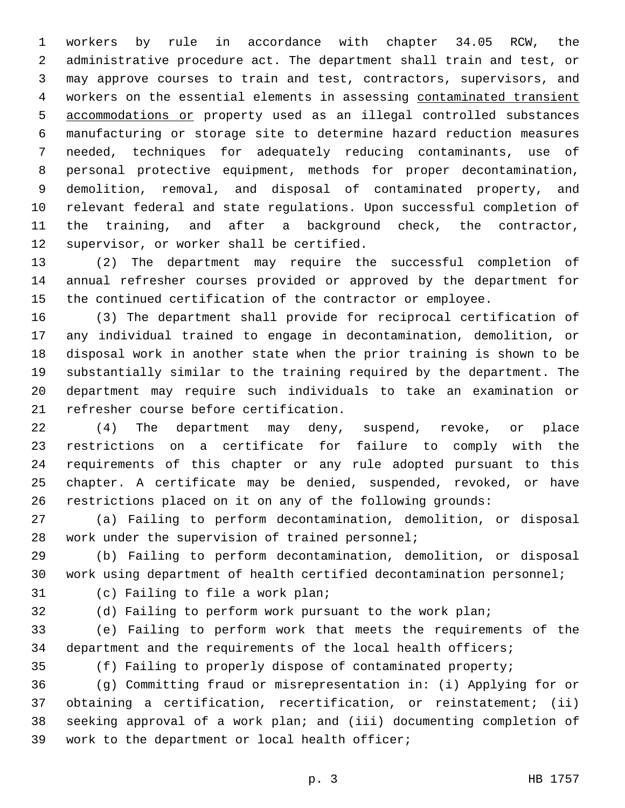workers by rule in accordance with chapter 34.05 RCW, the administrative procedure act. The department shall train and test, or may approve courses to train and test, contractors, supervisors, and workers on the essential elements in assessing contaminated transient accommodations or property used as an illegal controlled substances manufacturing or storage site to determine hazard reduction measures needed, techniques for adequately reducing contaminants, use of personal protective equipment, methods for proper decontamination, demolition, removal, and disposal of contaminated property, and relevant federal and state regulations. Upon successful completion of the training, and after a background check, the contractor, 12 supervisor, or worker shall be certified.

 (2) The department may require the successful completion of annual refresher courses provided or approved by the department for the continued certification of the contractor or employee.

 (3) The department shall provide for reciprocal certification of any individual trained to engage in decontamination, demolition, or disposal work in another state when the prior training is shown to be substantially similar to the training required by the department. The department may require such individuals to take an examination or 21 refresher course before certification.

 (4) The department may deny, suspend, revoke, or place restrictions on a certificate for failure to comply with the requirements of this chapter or any rule adopted pursuant to this chapter. A certificate may be denied, suspended, revoked, or have restrictions placed on it on any of the following grounds:

 (a) Failing to perform decontamination, demolition, or disposal 28 work under the supervision of trained personnel;

 (b) Failing to perform decontamination, demolition, or disposal work using department of health certified decontamination personnel;

31 (c) Failing to file a work plan;

(d) Failing to perform work pursuant to the work plan;

 (e) Failing to perform work that meets the requirements of the department and the requirements of the local health officers;

(f) Failing to properly dispose of contaminated property;

 (g) Committing fraud or misrepresentation in: (i) Applying for or obtaining a certification, recertification, or reinstatement; (ii) seeking approval of a work plan; and (iii) documenting completion of 39 work to the department or local health officer;